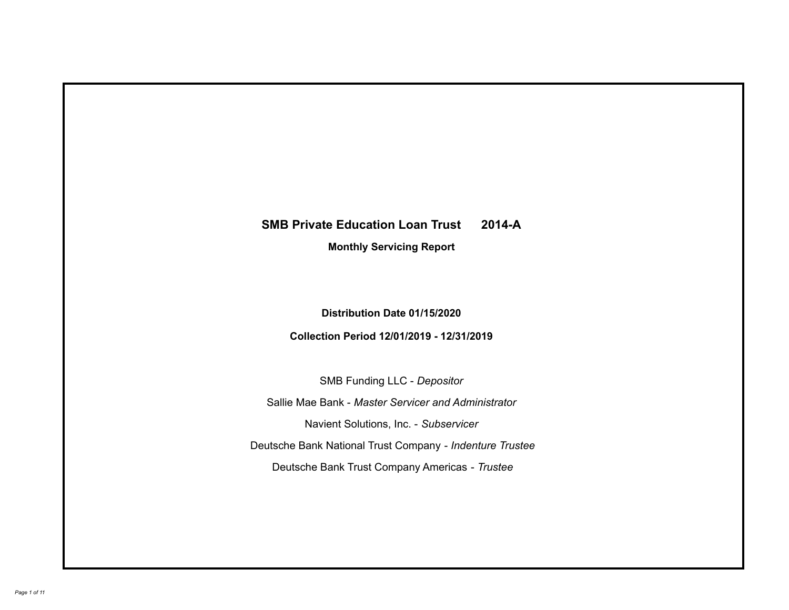# **SMB Private Education Loan Trust 2014-A Monthly Servicing Report**

# **Distribution Date 01/15/2020**

# **Collection Period 12/01/2019 - 12/31/2019**

SMB Funding LLC - *Depositor*

Sallie Mae Bank - *Master Servicer and Administrator*

Navient Solutions, Inc. - *Subservicer*

Deutsche Bank National Trust Company - *Indenture Trustee*

Deutsche Bank Trust Company Americas - *Trustee*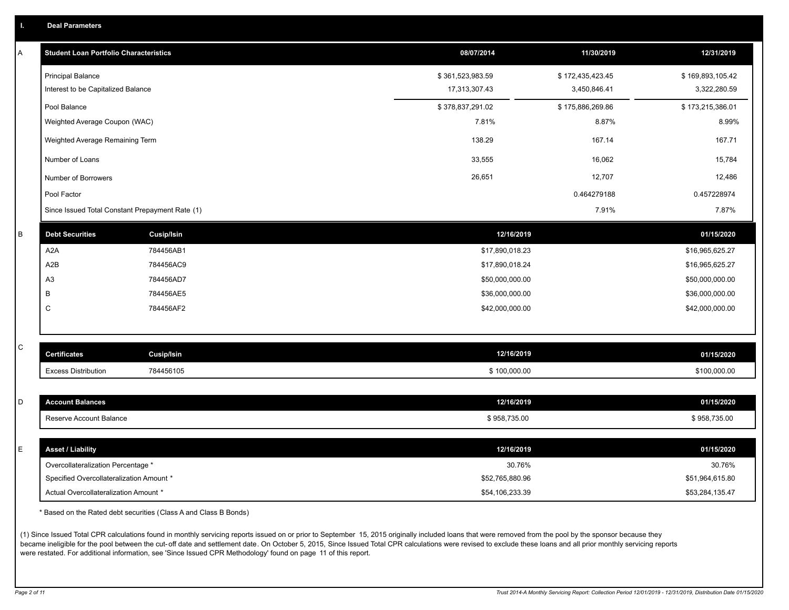| A | <b>Student Loan Portfolio Characteristics</b>   |                   | 08/07/2014       | 11/30/2019       | 12/31/2019       |
|---|-------------------------------------------------|-------------------|------------------|------------------|------------------|
|   | <b>Principal Balance</b>                        |                   | \$361,523,983.59 | \$172,435,423.45 | \$169,893,105.42 |
|   | Interest to be Capitalized Balance              |                   | 17,313,307.43    | 3,450,846.41     | 3,322,280.59     |
|   | Pool Balance                                    |                   | \$378,837,291.02 | \$175,886,269.86 | \$173,215,386.01 |
|   | Weighted Average Coupon (WAC)                   |                   | 7.81%            | 8.87%            | 8.99%            |
|   | Weighted Average Remaining Term                 |                   | 138.29           | 167.14           | 167.71           |
|   | Number of Loans                                 |                   | 33,555           | 16,062           | 15,784           |
|   | Number of Borrowers                             |                   | 26,651           | 12,707           | 12,486           |
|   | Pool Factor                                     |                   |                  | 0.464279188      | 0.457228974      |
|   | Since Issued Total Constant Prepayment Rate (1) |                   |                  | 7.91%            | 7.87%            |
| B | <b>Debt Securities</b>                          | <b>Cusip/Isin</b> | 12/16/2019       |                  | 01/15/2020       |
|   | A <sub>2</sub> A                                | 784456AB1         | \$17,890,018.23  |                  | \$16,965,625.27  |
|   | A2B                                             | 784456AC9         | \$17,890,018.24  |                  | \$16,965,625.27  |
|   | A3                                              | 784456AD7         | \$50,000,000.00  |                  | \$50,000,000.00  |
|   | В                                               | 784456AE5         | \$36,000,000.00  |                  | \$36,000,000.00  |
|   | $\mathsf{C}$                                    | 784456AF2         | \$42,000,000.00  |                  | \$42,000,000.00  |
|   |                                                 |                   |                  |                  |                  |
| C | <b>Certificates</b>                             | <b>Cusip/Isin</b> | 12/16/2019       |                  | 01/15/2020       |
|   | <b>Excess Distribution</b>                      | 784456105         | \$100,000.00     |                  | \$100,000.00     |
|   |                                                 |                   |                  |                  |                  |
| D | <b>Account Balances</b>                         |                   | 12/16/2019       |                  | 01/15/2020       |
|   | Reserve Account Balance                         |                   | \$958,735.00     |                  | \$958,735.00     |
|   |                                                 |                   |                  |                  |                  |
| E | <b>Asset / Liability</b>                        |                   | 12/16/2019       |                  | 01/15/2020       |
|   | Overcollateralization Percentage *              |                   | 30.76%           |                  | 30.76%           |
|   | Specified Overcollateralization Amount *        |                   | \$52,765,880.96  |                  | \$51,964,615.80  |
|   | Actual Overcollateralization Amount *           |                   | \$54,106,233.39  |                  | \$53,284,135.47  |

\* Based on the Rated debt securities (Class A and Class B Bonds)

(1) Since Issued Total CPR calculations found in monthly servicing reports issued on or prior to September 15, 2015 originally included loans that were removed from the pool by the sponsor because they became ineligible for the pool between the cut-off date and settlement date. On October 5, 2015, Since Issued Total CPR calculations were revised to exclude these loans and all prior monthly servicing reports were restated. For additional information, see 'Since Issued CPR Methodology' found on page 11 of this report.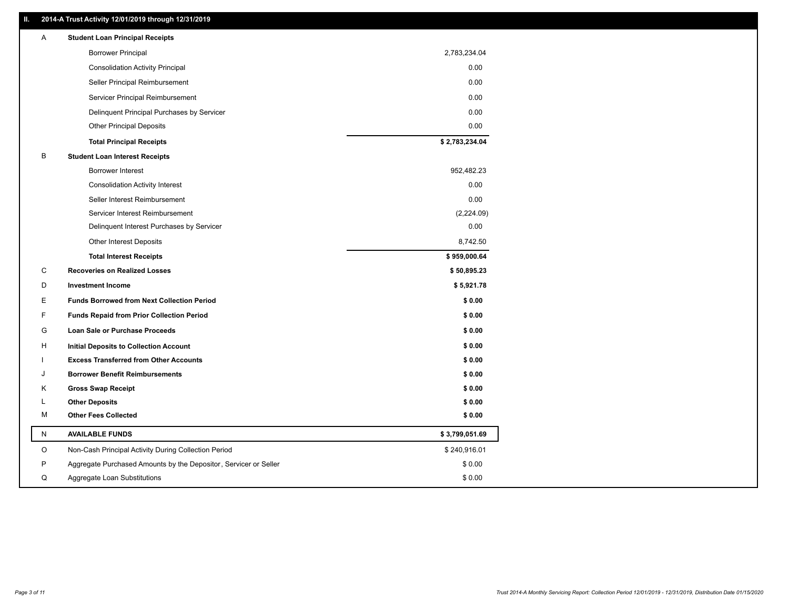### **II. 2014-A Trust Activity 12/01/2019 through 12/31/2019**

| A  | <b>Student Loan Principal Receipts</b>                           |                |  |
|----|------------------------------------------------------------------|----------------|--|
|    | <b>Borrower Principal</b>                                        | 2,783,234.04   |  |
|    | <b>Consolidation Activity Principal</b>                          | 0.00           |  |
|    | Seller Principal Reimbursement                                   | 0.00           |  |
|    | Servicer Principal Reimbursement                                 | 0.00           |  |
|    | Delinquent Principal Purchases by Servicer                       | 0.00           |  |
|    | <b>Other Principal Deposits</b>                                  | 0.00           |  |
|    | <b>Total Principal Receipts</b>                                  | \$2,783,234.04 |  |
| В  | <b>Student Loan Interest Receipts</b>                            |                |  |
|    | <b>Borrower Interest</b>                                         | 952,482.23     |  |
|    | <b>Consolidation Activity Interest</b>                           | 0.00           |  |
|    | Seller Interest Reimbursement                                    | 0.00           |  |
|    | Servicer Interest Reimbursement                                  | (2,224.09)     |  |
|    | Delinquent Interest Purchases by Servicer                        | 0.00           |  |
|    | <b>Other Interest Deposits</b>                                   | 8,742.50       |  |
|    | <b>Total Interest Receipts</b>                                   | \$959,000.64   |  |
| C  | <b>Recoveries on Realized Losses</b>                             | \$50,895.23    |  |
| D  | <b>Investment Income</b>                                         | \$5,921.78     |  |
| E. | <b>Funds Borrowed from Next Collection Period</b>                | \$0.00         |  |
| F  | <b>Funds Repaid from Prior Collection Period</b>                 | \$0.00         |  |
| G  | Loan Sale or Purchase Proceeds                                   | \$0.00         |  |
| н  | <b>Initial Deposits to Collection Account</b>                    | \$0.00         |  |
|    | <b>Excess Transferred from Other Accounts</b>                    | \$0.00         |  |
| J  | <b>Borrower Benefit Reimbursements</b>                           | \$0.00         |  |
| Κ  | <b>Gross Swap Receipt</b>                                        | \$0.00         |  |
| L  | <b>Other Deposits</b>                                            | \$0.00         |  |
| м  | <b>Other Fees Collected</b>                                      | \$0.00         |  |
| N  | <b>AVAILABLE FUNDS</b>                                           | \$3,799,051.69 |  |
| O  | Non-Cash Principal Activity During Collection Period             | \$240,916.01   |  |
| P  | Aggregate Purchased Amounts by the Depositor, Servicer or Seller | \$0.00         |  |
| Q  | Aggregate Loan Substitutions                                     | \$0.00         |  |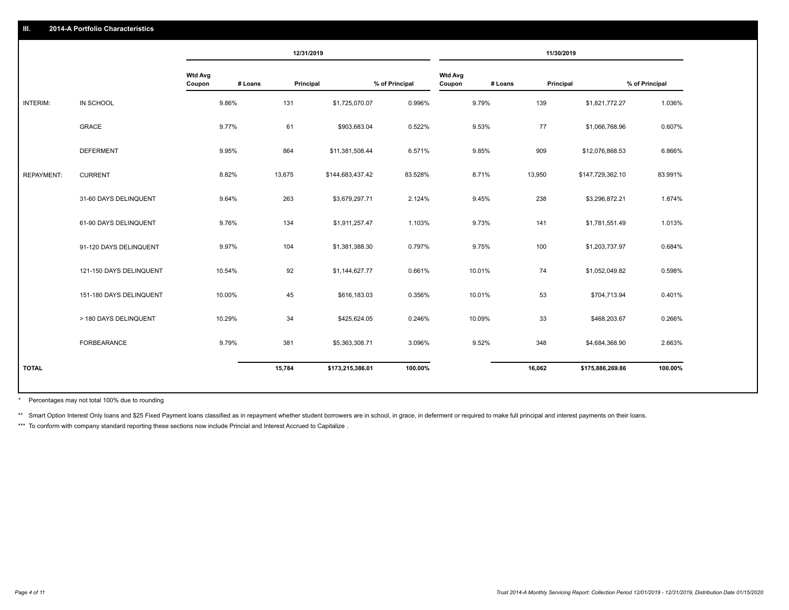|                   |                         |                          | 12/31/2019           |                  |                |                          |         | 11/30/2019       |                |
|-------------------|-------------------------|--------------------------|----------------------|------------------|----------------|--------------------------|---------|------------------|----------------|
|                   |                         | <b>Wtd Avg</b><br>Coupon | # Loans<br>Principal |                  | % of Principal | <b>Wtd Avg</b><br>Coupon | # Loans | Principal        | % of Principal |
| INTERIM:          | IN SCHOOL               | 9.86%                    | 131                  | \$1,725,070.07   | 0.996%         | 9.79%                    | 139     | \$1,821,772.27   | 1.036%         |
|                   | GRACE                   | 9.77%                    | 61                   | \$903,683.04     | 0.522%         | 9.53%                    | 77      | \$1,066,768.96   | 0.607%         |
|                   | <b>DEFERMENT</b>        | 9.95%                    | 864                  | \$11,381,508.44  | 6.571%         | 9.85%                    | 909     | \$12,076,868.53  | 6.866%         |
| <b>REPAYMENT:</b> | <b>CURRENT</b>          | 8.82%                    | 13,675               | \$144,683,437.42 | 83.528%        | 8.71%                    | 13,950  | \$147,729,362.10 | 83.991%        |
|                   | 31-60 DAYS DELINQUENT   | 9.64%                    | 263                  | \$3,679,297.71   | 2.124%         | 9.45%                    | 238     | \$3,296,872.21   | 1.874%         |
|                   | 61-90 DAYS DELINQUENT   | 9.76%                    | 134                  | \$1,911,257.47   | 1.103%         | 9.73%                    | 141     | \$1,781,551.49   | 1.013%         |
|                   | 91-120 DAYS DELINQUENT  | 9.97%                    | 104                  | \$1,381,388.30   | 0.797%         | 9.75%                    | 100     | \$1,203,737.97   | 0.684%         |
|                   | 121-150 DAYS DELINQUENT | 10.54%                   | 92                   | \$1,144,627.77   | 0.661%         | 10.01%                   | 74      | \$1,052,049.82   | 0.598%         |
|                   | 151-180 DAYS DELINQUENT | 10.00%                   | 45                   | \$616,183.03     | 0.356%         | 10.01%                   | 53      | \$704,713.94     | 0.401%         |
|                   | > 180 DAYS DELINQUENT   | 10.29%                   | 34                   | \$425,624.05     | 0.246%         | 10.09%                   | 33      | \$468,203.67     | 0.266%         |
|                   | FORBEARANCE             | 9.79%                    | 381                  | \$5,363,308.71   | 3.096%         | 9.52%                    | 348     | \$4,684,368.90   | 2.663%         |
| <b>TOTAL</b>      |                         |                          | 15,784               | \$173,215,386.01 | 100.00%        |                          | 16,062  | \$175,886,269.86 | 100.00%        |

Percentages may not total 100% due to rounding \*

\*\* Smart Option Interest Only loans and \$25 Fixed Payment loans classified as in repayment whether student borrowers are in school, in grace, in deferment or required to make full principal and interest payments on their l

\*\*\* To conform with company standard reporting these sections now include Princial and Interest Accrued to Capitalize.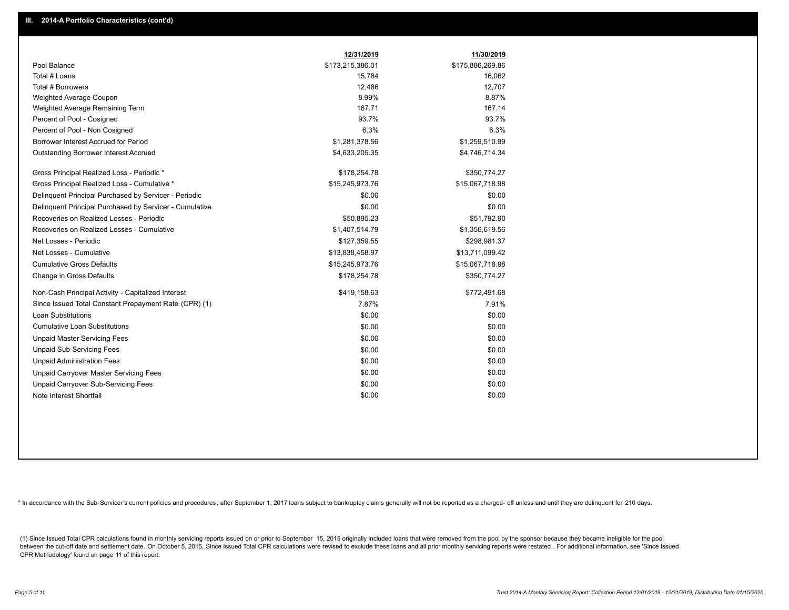|                                                         | 12/31/2019       | 11/30/2019       |
|---------------------------------------------------------|------------------|------------------|
| Pool Balance                                            | \$173,215,386.01 | \$175,886,269.86 |
| Total # Loans                                           | 15,784           | 16,062           |
| Total # Borrowers                                       | 12,486           | 12,707           |
| Weighted Average Coupon                                 | 8.99%            | 8.87%            |
| Weighted Average Remaining Term                         | 167.71           | 167.14           |
| Percent of Pool - Cosigned                              | 93.7%            | 93.7%            |
| Percent of Pool - Non Cosigned                          | 6.3%             | 6.3%             |
| Borrower Interest Accrued for Period                    | \$1,281,378.56   | \$1,259,510.99   |
| Outstanding Borrower Interest Accrued                   | \$4,633,205.35   | \$4,746,714.34   |
| Gross Principal Realized Loss - Periodic *              | \$178,254.78     | \$350,774.27     |
| Gross Principal Realized Loss - Cumulative *            | \$15,245,973.76  | \$15,067,718.98  |
| Delinguent Principal Purchased by Servicer - Periodic   | \$0.00           | \$0.00           |
| Delinquent Principal Purchased by Servicer - Cumulative | \$0.00           | \$0.00           |
| Recoveries on Realized Losses - Periodic                | \$50,895.23      | \$51,792.90      |
| Recoveries on Realized Losses - Cumulative              | \$1,407,514.79   | \$1,356,619.56   |
| Net Losses - Periodic                                   | \$127,359.55     | \$298,981.37     |
| Net Losses - Cumulative                                 | \$13,838,458.97  | \$13,711,099.42  |
| <b>Cumulative Gross Defaults</b>                        | \$15,245,973.76  | \$15,067,718.98  |
| Change in Gross Defaults                                | \$178,254.78     | \$350,774.27     |
| Non-Cash Principal Activity - Capitalized Interest      | \$419,158.63     | \$772,491.68     |
| Since Issued Total Constant Prepayment Rate (CPR) (1)   | 7.87%            | 7.91%            |
| <b>Loan Substitutions</b>                               | \$0.00           | \$0.00           |
| <b>Cumulative Loan Substitutions</b>                    | \$0.00           | \$0.00           |
| <b>Unpaid Master Servicing Fees</b>                     | \$0.00           | \$0.00           |
| <b>Unpaid Sub-Servicing Fees</b>                        | \$0.00           | \$0.00           |
| <b>Unpaid Administration Fees</b>                       | \$0.00           | \$0.00           |
| Unpaid Carryover Master Servicing Fees                  | \$0.00           | \$0.00           |
| Unpaid Carryover Sub-Servicing Fees                     | \$0.00           | \$0.00           |
| Note Interest Shortfall                                 | \$0.00           | \$0.00           |

\* In accordance with the Sub-Servicer's current policies and procedures, after September 1, 2017 loans subject to bankruptcy claims generally will not be reported as a charged- off unless and until they are delinquent for

(1) Since Issued Total CPR calculations found in monthly servicing reports issued on or prior to September 15, 2015 originally included loans that were removed from the pool by the sponsor because they became ineligible fo between the cut-off date and settlement date. On October 5, 2015, Since Issued Total CPR calculations were revised to exclude these loans and all prior monthly servicing reports were restated. For additional information, s CPR Methodology' found on page 11 of this report.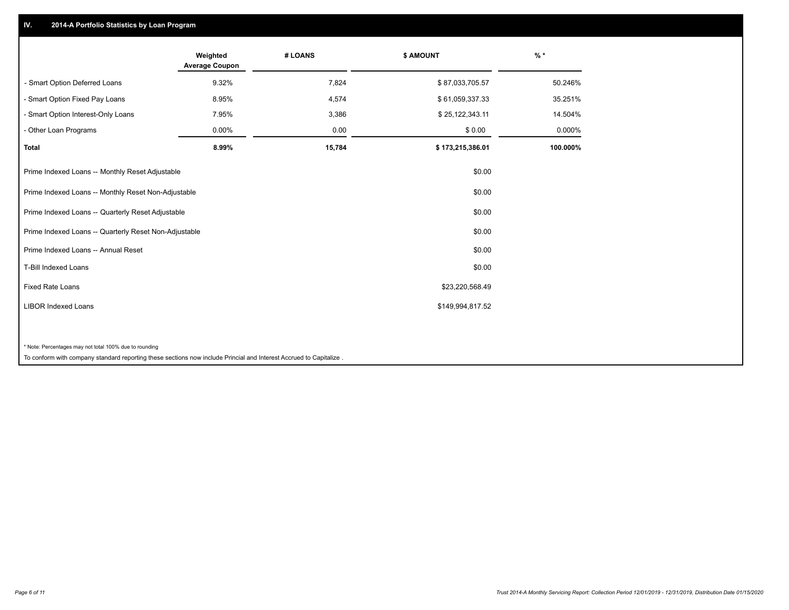## **IV. 2014-A Portfolio Statistics by Loan Program**

|                                                                                                                                                                           | Weighted<br><b>Average Coupon</b> | # LOANS | <b>\$ AMOUNT</b> | $%$ *    |
|---------------------------------------------------------------------------------------------------------------------------------------------------------------------------|-----------------------------------|---------|------------------|----------|
| - Smart Option Deferred Loans                                                                                                                                             | 9.32%                             | 7,824   | \$87,033,705.57  | 50.246%  |
| - Smart Option Fixed Pay Loans                                                                                                                                            | 8.95%                             | 4,574   | \$61,059,337.33  | 35.251%  |
| - Smart Option Interest-Only Loans                                                                                                                                        | 7.95%                             | 3,386   | \$25,122,343.11  | 14.504%  |
| - Other Loan Programs                                                                                                                                                     | 0.00%                             | 0.00    | \$0.00           | 0.000%   |
| <b>Total</b>                                                                                                                                                              | 8.99%                             | 15,784  | \$173,215,386.01 | 100.000% |
| Prime Indexed Loans -- Monthly Reset Adjustable                                                                                                                           |                                   |         | \$0.00           |          |
| Prime Indexed Loans -- Monthly Reset Non-Adjustable                                                                                                                       |                                   |         | \$0.00           |          |
| Prime Indexed Loans -- Quarterly Reset Adjustable                                                                                                                         |                                   |         | \$0.00           |          |
| Prime Indexed Loans -- Quarterly Reset Non-Adjustable                                                                                                                     |                                   |         | \$0.00           |          |
| Prime Indexed Loans -- Annual Reset                                                                                                                                       |                                   |         | \$0.00           |          |
| T-Bill Indexed Loans                                                                                                                                                      |                                   |         | \$0.00           |          |
| <b>Fixed Rate Loans</b>                                                                                                                                                   |                                   |         | \$23,220,568.49  |          |
| <b>LIBOR Indexed Loans</b>                                                                                                                                                |                                   |         | \$149,994,817.52 |          |
|                                                                                                                                                                           |                                   |         |                  |          |
| * Note: Percentages may not total 100% due to rounding<br>the contract of the contract of the contract of the contract of the contract of the contract of the contract of | .                                 |         |                  |          |

To conform with company standard reporting these sections now include Princial and Interest Accrued to Capitalize .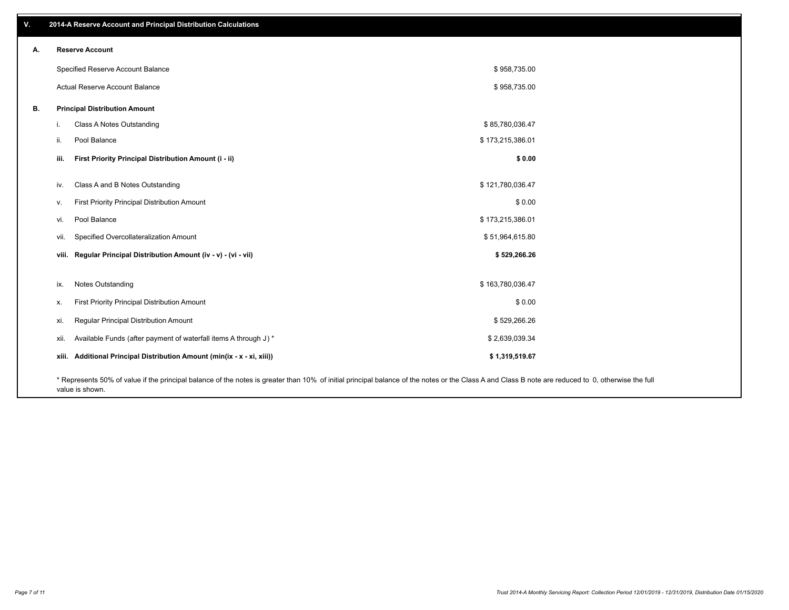| V. | 2014-A Reserve Account and Principal Distribution Calculations                                                                                                                                     |                  |  |
|----|----------------------------------------------------------------------------------------------------------------------------------------------------------------------------------------------------|------------------|--|
| А. | <b>Reserve Account</b>                                                                                                                                                                             |                  |  |
|    | Specified Reserve Account Balance                                                                                                                                                                  | \$958,735.00     |  |
|    | Actual Reserve Account Balance                                                                                                                                                                     | \$958,735.00     |  |
| В. | <b>Principal Distribution Amount</b>                                                                                                                                                               |                  |  |
|    | Class A Notes Outstanding<br>j.                                                                                                                                                                    | \$85,780,036.47  |  |
|    | Pool Balance<br>ii.                                                                                                                                                                                | \$173,215,386.01 |  |
|    | First Priority Principal Distribution Amount (i - ii)<br>iii.                                                                                                                                      | \$0.00           |  |
|    | Class A and B Notes Outstanding<br>iv.                                                                                                                                                             | \$121,780,036.47 |  |
|    | First Priority Principal Distribution Amount<br>V.                                                                                                                                                 | \$0.00           |  |
|    | Pool Balance<br>vi.                                                                                                                                                                                | \$173,215,386.01 |  |
|    | Specified Overcollateralization Amount<br>vii.                                                                                                                                                     | \$51,964,615.80  |  |
|    | viii. Regular Principal Distribution Amount (iv - v) - (vi - vii)                                                                                                                                  | \$529,266.26     |  |
|    | Notes Outstanding<br>ix.                                                                                                                                                                           | \$163,780,036.47 |  |
|    | First Priority Principal Distribution Amount                                                                                                                                                       | \$0.00           |  |
|    | Х.                                                                                                                                                                                                 |                  |  |
|    | Regular Principal Distribution Amount<br>xi.                                                                                                                                                       | \$529,266.26     |  |
|    | Available Funds (after payment of waterfall items A through J) *<br>xii.                                                                                                                           | \$2,639,039.34   |  |
|    | xiii. Additional Principal Distribution Amount (min(ix - x - xi, xiii))                                                                                                                            | \$1,319,519.67   |  |
|    | * Represents 50% of value if the principal balance of the notes is greater than 10% of initial principal balance of the notes or the Class A and Class B note are reduced to 0, otherwise the full |                  |  |

value is shown.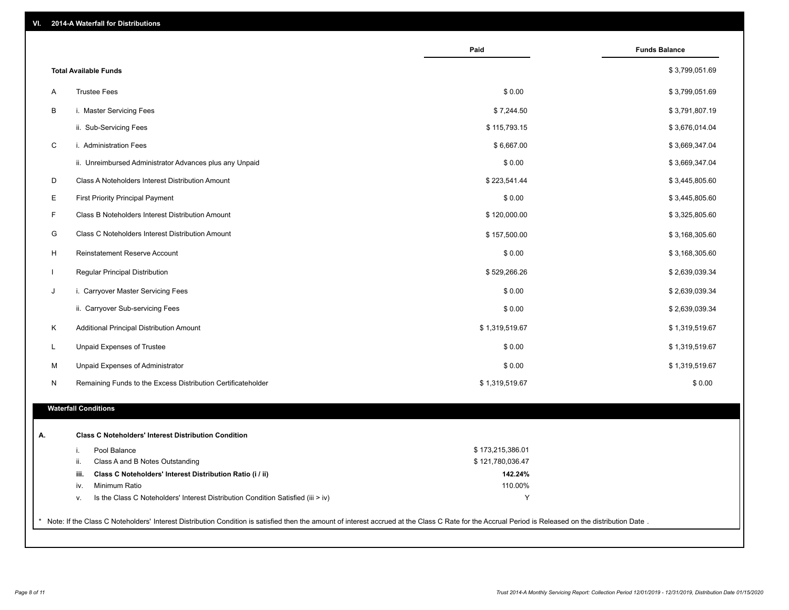| <b>Total Available Funds</b><br><b>Trustee Fees</b><br>A<br>В<br>$\mathsf C$<br>D<br>Е | i. Master Servicing Fees<br>ii. Sub-Servicing Fees<br>i. Administration Fees<br>ii. Unreimbursed Administrator Advances plus any Unpaid | \$0.00<br>\$7,244.50<br>\$115,793.15<br>\$6,667.00 | \$3,799,051.69<br>\$3,799,051.69<br>\$3,791,807.19<br>\$3,676,014.04 |
|----------------------------------------------------------------------------------------|-----------------------------------------------------------------------------------------------------------------------------------------|----------------------------------------------------|----------------------------------------------------------------------|
|                                                                                        |                                                                                                                                         |                                                    |                                                                      |
|                                                                                        |                                                                                                                                         |                                                    |                                                                      |
|                                                                                        |                                                                                                                                         |                                                    |                                                                      |
|                                                                                        |                                                                                                                                         |                                                    |                                                                      |
|                                                                                        |                                                                                                                                         |                                                    | \$3,669,347.04                                                       |
|                                                                                        |                                                                                                                                         | \$0.00                                             | \$3,669,347.04                                                       |
|                                                                                        | Class A Noteholders Interest Distribution Amount                                                                                        | \$223,541.44                                       | \$3,445,805.60                                                       |
|                                                                                        | <b>First Priority Principal Payment</b>                                                                                                 | \$0.00                                             | \$3,445,805.60                                                       |
| F                                                                                      | Class B Noteholders Interest Distribution Amount                                                                                        | \$120,000.00                                       | \$3,325,805.60                                                       |
| G                                                                                      | Class C Noteholders Interest Distribution Amount                                                                                        | \$157,500.00                                       | \$3,168,305.60                                                       |
| H                                                                                      | <b>Reinstatement Reserve Account</b>                                                                                                    | \$0.00                                             | \$3,168,305.60                                                       |
| $\mathbf{I}$                                                                           | Regular Principal Distribution                                                                                                          | \$529,266.26                                       | \$2,639,039.34                                                       |
| J                                                                                      | i. Carryover Master Servicing Fees                                                                                                      | \$0.00                                             | \$2,639,039.34                                                       |
|                                                                                        | ii. Carryover Sub-servicing Fees                                                                                                        | \$0.00                                             | \$2,639,039.34                                                       |
| Κ                                                                                      | Additional Principal Distribution Amount                                                                                                | \$1,319,519.67                                     | \$1,319,519.67                                                       |
| L                                                                                      | Unpaid Expenses of Trustee                                                                                                              | \$0.00                                             | \$1,319,519.67                                                       |
| M                                                                                      | Unpaid Expenses of Administrator                                                                                                        | \$0.00                                             | \$1,319,519.67                                                       |
| N                                                                                      | Remaining Funds to the Excess Distribution Certificateholder                                                                            | \$1,319,519.67                                     | \$0.00                                                               |
|                                                                                        |                                                                                                                                         |                                                    |                                                                      |
| <b>Waterfall Conditions</b>                                                            |                                                                                                                                         |                                                    |                                                                      |
| А.                                                                                     | <b>Class C Noteholders' Interest Distribution Condition</b>                                                                             |                                                    |                                                                      |
| i.                                                                                     | Pool Balance                                                                                                                            | \$173,215,386.01                                   |                                                                      |
| ii.                                                                                    | Class A and B Notes Outstanding                                                                                                         | \$121,780,036.47                                   |                                                                      |
| iii.                                                                                   | Class C Noteholders' Interest Distribution Ratio (i / ii)                                                                               | 142.24%                                            |                                                                      |
| iv.                                                                                    | Minimum Ratio                                                                                                                           | 110.00%                                            |                                                                      |
| v.                                                                                     | Is the Class C Noteholders' Interest Distribution Condition Satisfied (iii > iv)                                                        | Υ                                                  |                                                                      |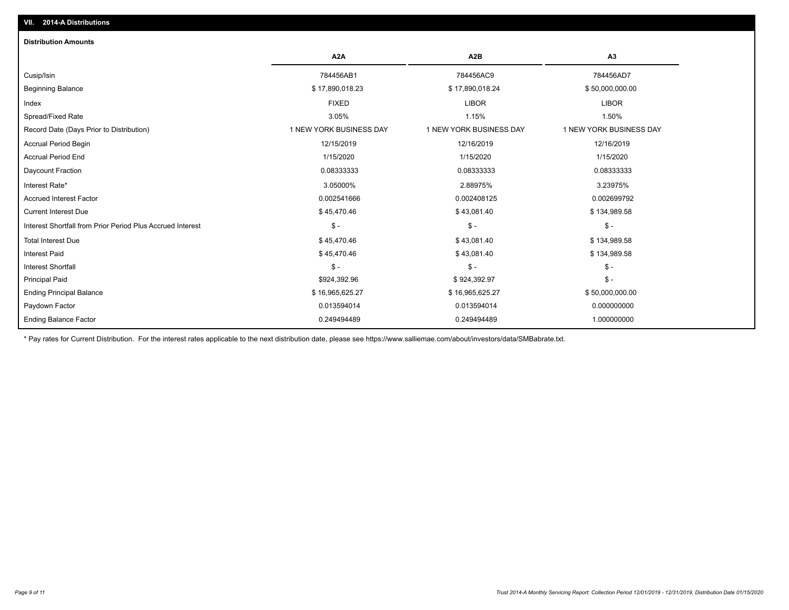| <b>Distribution Amounts</b>                                |                         |                         |                         |
|------------------------------------------------------------|-------------------------|-------------------------|-------------------------|
|                                                            | A <sub>2</sub> A        | A <sub>2</sub> B        | A <sub>3</sub>          |
| Cusip/Isin                                                 | 784456AB1               | 784456AC9               | 784456AD7               |
| <b>Beginning Balance</b>                                   | \$17,890,018.23         | \$17,890,018.24         | \$50,000,000.00         |
| Index                                                      | <b>FIXED</b>            | <b>LIBOR</b>            | <b>LIBOR</b>            |
| Spread/Fixed Rate                                          | 3.05%                   | 1.15%                   | 1.50%                   |
| Record Date (Days Prior to Distribution)                   | 1 NEW YORK BUSINESS DAY | 1 NEW YORK BUSINESS DAY | 1 NEW YORK BUSINESS DAY |
| <b>Accrual Period Begin</b>                                | 12/15/2019              | 12/16/2019              | 12/16/2019              |
| <b>Accrual Period End</b>                                  | 1/15/2020               | 1/15/2020               | 1/15/2020               |
| Daycount Fraction                                          | 0.08333333              | 0.08333333              | 0.08333333              |
| Interest Rate*                                             | 3.05000%                | 2.88975%                | 3.23975%                |
| <b>Accrued Interest Factor</b>                             | 0.002541666             | 0.002408125             | 0.002699792             |
| <b>Current Interest Due</b>                                | \$45,470.46             | \$43,081.40             | \$134,989.58            |
| Interest Shortfall from Prior Period Plus Accrued Interest | $$ -$                   | $\mathsf{\$}$ -         | $\mathcal{S}$ -         |
| <b>Total Interest Due</b>                                  | \$45,470.46             | \$43,081.40             | \$134,989.58            |
| <b>Interest Paid</b>                                       | \$45,470.46             | \$43,081.40             | \$134,989.58            |
| Interest Shortfall                                         | $$ -$                   | $\mathcal{S}$ -         | $\mathcal{S}$ -         |
| <b>Principal Paid</b>                                      | \$924,392.96            | \$924,392.97            | $\mathsf{\$}$ -         |
| <b>Ending Principal Balance</b>                            | \$16,965,625.27         | \$16,965,625.27         | \$50,000,000.00         |
| Paydown Factor                                             | 0.013594014             | 0.013594014             | 0.000000000             |
| <b>Ending Balance Factor</b>                               | 0.249494489             | 0.249494489             | 1.000000000             |

\* Pay rates for Current Distribution. For the interest rates applicable to the next distribution date, please see https://www.salliemae.com/about/investors/data/SMBabrate.txt.

**VII. 2014-A Distributions**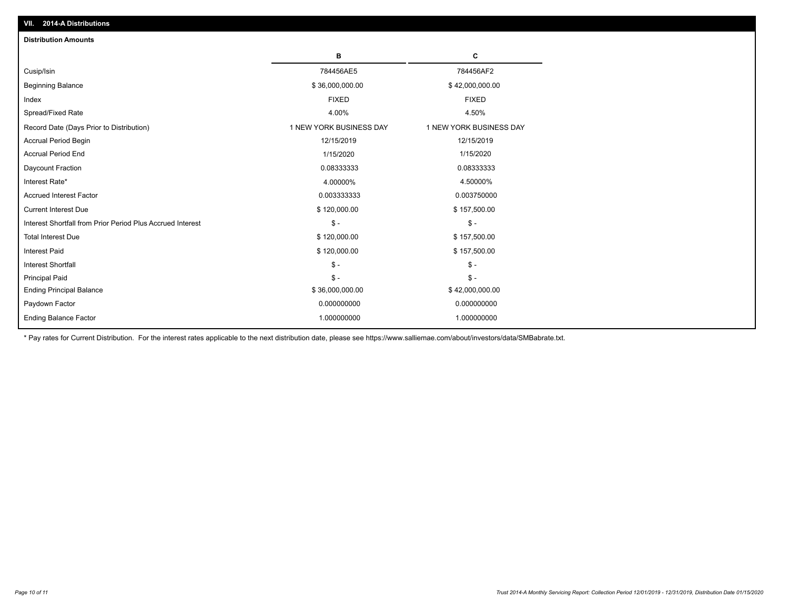| <b>Distribution Amounts</b>                                |                         |                         |
|------------------------------------------------------------|-------------------------|-------------------------|
|                                                            | в                       | С                       |
| Cusip/Isin                                                 | 784456AE5               | 784456AF2               |
| <b>Beginning Balance</b>                                   | \$36,000,000.00         | \$42,000,000.00         |
| Index                                                      | <b>FIXED</b>            | <b>FIXED</b>            |
| Spread/Fixed Rate                                          | 4.00%                   | 4.50%                   |
| Record Date (Days Prior to Distribution)                   | 1 NEW YORK BUSINESS DAY | 1 NEW YORK BUSINESS DAY |
| <b>Accrual Period Begin</b>                                | 12/15/2019              | 12/15/2019              |
| <b>Accrual Period End</b>                                  | 1/15/2020               | 1/15/2020               |
| Daycount Fraction                                          | 0.08333333              | 0.08333333              |
| Interest Rate*                                             | 4.00000%                | 4.50000%                |
| <b>Accrued Interest Factor</b>                             | 0.003333333             | 0.003750000             |
| <b>Current Interest Due</b>                                | \$120,000.00            | \$157,500.00            |
| Interest Shortfall from Prior Period Plus Accrued Interest | $\mathcal{S}$ -         | $\mathsf{\$}$ -         |
| <b>Total Interest Due</b>                                  | \$120,000.00            | \$157,500.00            |
| <b>Interest Paid</b>                                       | \$120,000.00            | \$157,500.00            |
| <b>Interest Shortfall</b>                                  | $\mathcal{S}$ -         | $\frac{1}{2}$           |
| <b>Principal Paid</b>                                      | $\mathsf{\$}$ -         | $\mathsf{\$}$ -         |
| <b>Ending Principal Balance</b>                            | \$36,000,000.00         | \$42,000,000.00         |
| Paydown Factor                                             | 0.000000000             | 0.000000000             |
| <b>Ending Balance Factor</b>                               | 1.000000000             | 1.000000000             |

\* Pay rates for Current Distribution. For the interest rates applicable to the next distribution date, please see https://www.salliemae.com/about/investors/data/SMBabrate.txt.

**VII. 2014-A Distributions**